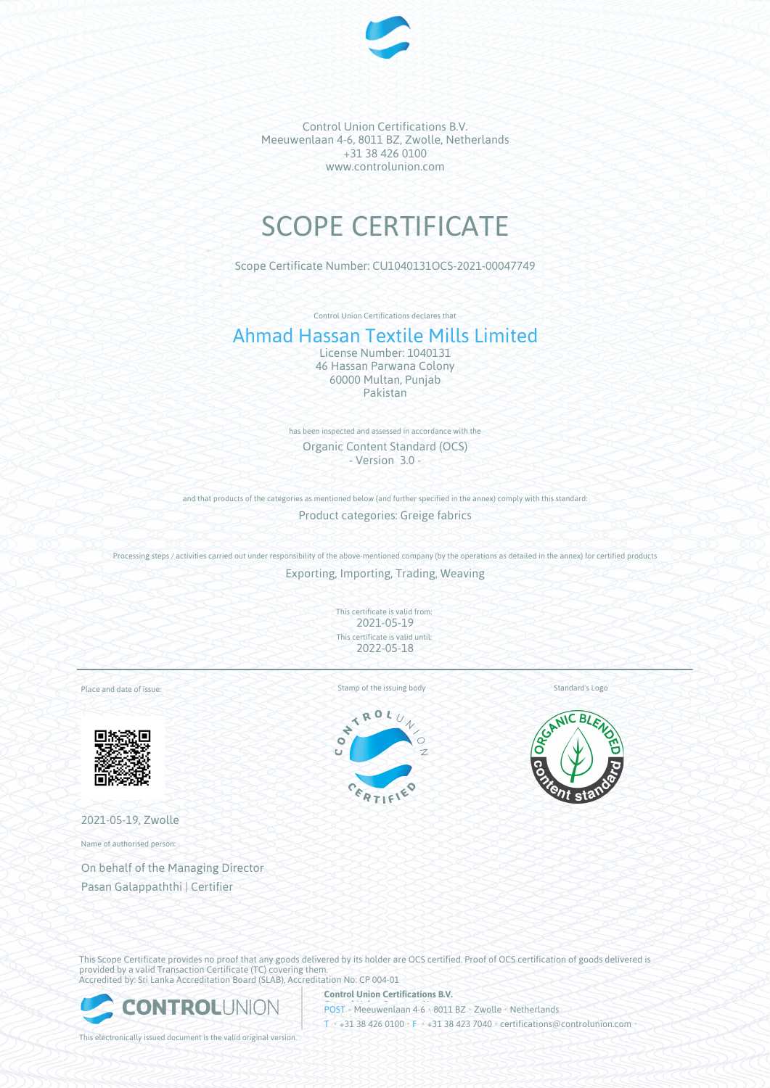

Control Union Certifications B.V. Meeuwenlaan 4-6, 8011 BZ, Zwolle, Netherlands +31 38 426 0100 www.controlunion.com

## SCOPE CERTIFICATE

Scope Certificate Number: CU1040131OCS-2021-00047749

Control Union Certifications declares that

## Ahmad Hassan Textile Mills Limited

License Number: 1040131 46 Hassan Parwana Colony 60000 Multan, Punjab Pakistan

has been inspected and assessed in accordance with the Organic Content Standard (OCS) - Version 3.0 -

and that products of the categories as mentioned below (and further specified in the annex) comply with this standard:

Product categories: Greige fabrics

Processing steps / activities carried out under responsibility of the above-mentioned company (by the operations as detailed in the annex) for certified products Exporting, Importing, Trading, Weaving

> This certificate is valid from: 2021-05-19 This certificate is valid until: 2022-05-18

Place and date of issue:



2021-05-19, Zwolle

Name of authorised person:

On behalf of the Managing Director Pasan Galappaththi | Certifier

Standard's Logo





This Scope Certificate provides no proof that any goods delivered by its holder are OCS certified. Proof of OCS certification of goods delivered is provided by a valid Transaction Certificate (TC) covering them. Accredited by: Sri Lanka Accreditation Board (SLAB), Accreditation No: CP 004-01



**Control Union Certifications B.V.** POST • Meeuwenlaan 4-6 • 8011 BZ • Zwolle • Netherlands T • +31 38 426 0100 • F • +31 38 423 7040 • certifications@controlunion.com •

This electronically issued document is the valid original version.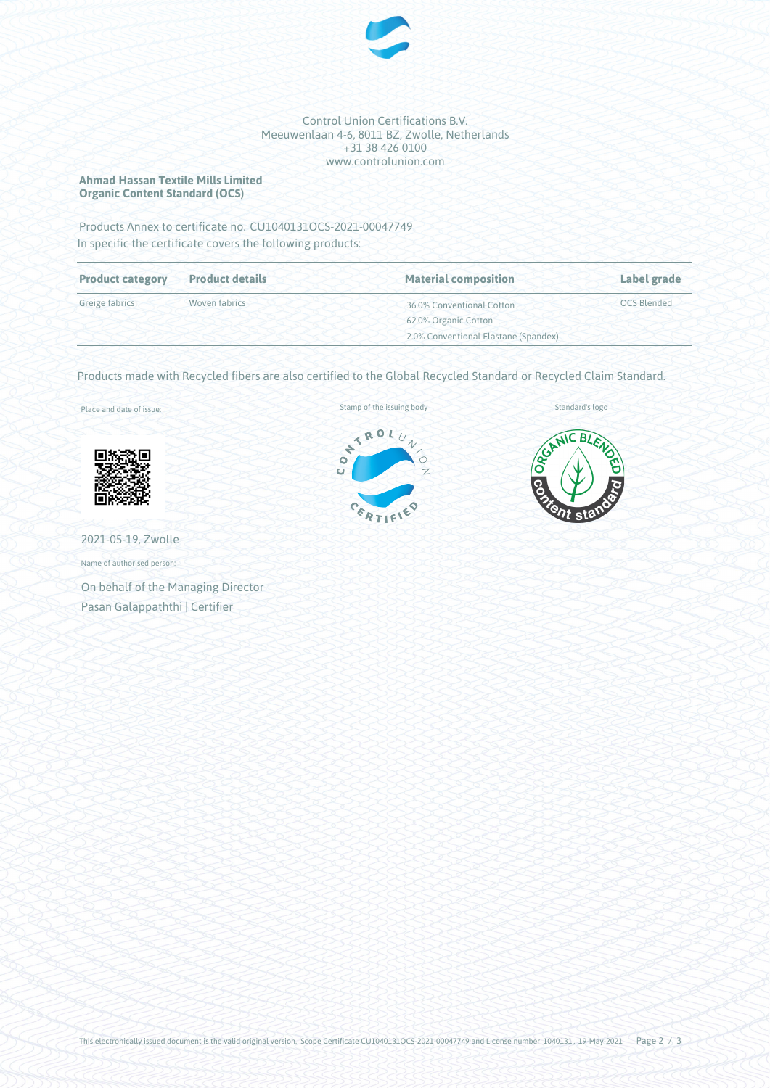

## Control Union Certifications B.V. Meeuwenlaan 4-6, 8011 BZ, Zwolle, Netherlands +31 38 426 0100 www.controlunion.com

**Ahmad Hassan Textile Mills Limited Organic Content Standard (OCS)**

Products Annex to certificate no. CU1040131OCS-2021-00047749 In specific the certificate covers the following products:

| <b>Product category</b> | <b>Product details</b> | <b>Material composition</b>          | Label grade        |  |
|-------------------------|------------------------|--------------------------------------|--------------------|--|
| Greige fabrics          | Woven fabrics          | 36.0% Conventional Cotton            | <b>OCS Blended</b> |  |
|                         |                        | 62.0% Organic Cotton                 |                    |  |
|                         |                        | 2.0% Conventional Elastane (Spandex) |                    |  |

Products made with Recycled fibers are also certified to the Global Recycled Standard or Recycled Claim Standard.

Place and date of issue:



2021-05-19, Zwolle

Name of authorised person:

On behalf of the Managing Director Pasan Galappaththi | Certifier